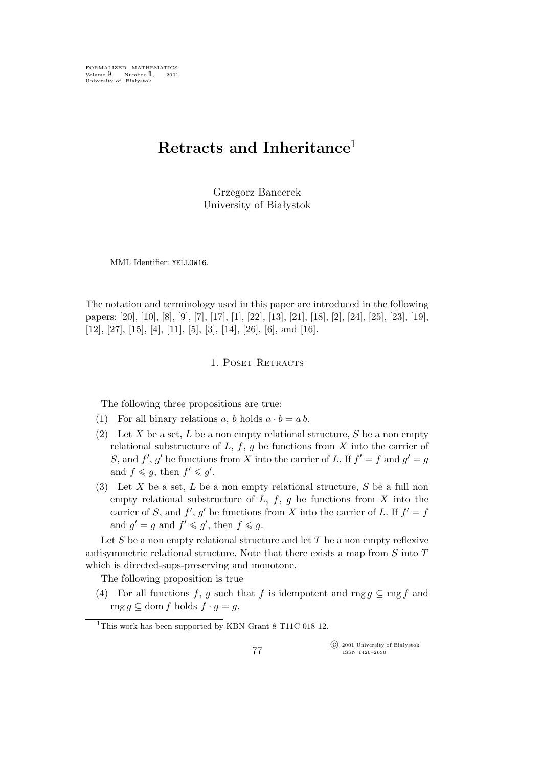FORMALIZED MATHEMATICS Volume 9, Number **1**, 2001 University of Białystok

# **Retracts and Inheritance**<sup>1</sup>

Grzegorz Bancerek University of Białystok

MML Identifier: YELLOW16.

The notation and terminology used in this paper are introduced in the following papers: [20], [10], [8], [9], [7], [17], [1], [22], [13], [21], [18], [2], [24], [25], [23], [19], [12], [27], [15], [4], [11], [5], [3], [14], [26], [6], and [16].

## 1. POSET RETRACTS

The following three propositions are true:

- (1) For all binary relations a, b holds  $a \cdot b = a b$ .
- (2) Let X be a set, L be a non empty relational structure, S be a non empty relational substructure of  $L, f, g$  be functions from X into the carrier of S, and  $f'$ ,  $g'$  be functions from X into the carrier of L. If  $f' = f$  and  $g' = g$ and  $f \leq g$ , then  $f' \leq g'$ .
- (3) Let X be a set, L be a non empty relational structure, S be a full non empty relational substructure of  $L, f, g$  be functions from  $X$  into the carrier of S, and  $f'$ ,  $g'$  be functions from X into the carrier of L. If  $f' = f$ and  $g' = g$  and  $f' \leq g'$ , then  $f \leq g$ .

Let S be a non empty relational structure and let  $T$  be a non empty reflexive antisymmetric relational structure. Note that there exists a map from S into T which is directed-sups-preserving and monotone.

The following proposition is true

(4) For all functions f, g such that f is idempotent and rng  $q \subseteq \text{rng } f$  and rng *g* ⊆ dom *f* holds  $f \cdot g = g$ .

°c 2001 University of Białystok ISSN 1426–2630

<sup>&</sup>lt;sup>1</sup>This work has been supported by KBN Grant 8 T11C 018 12.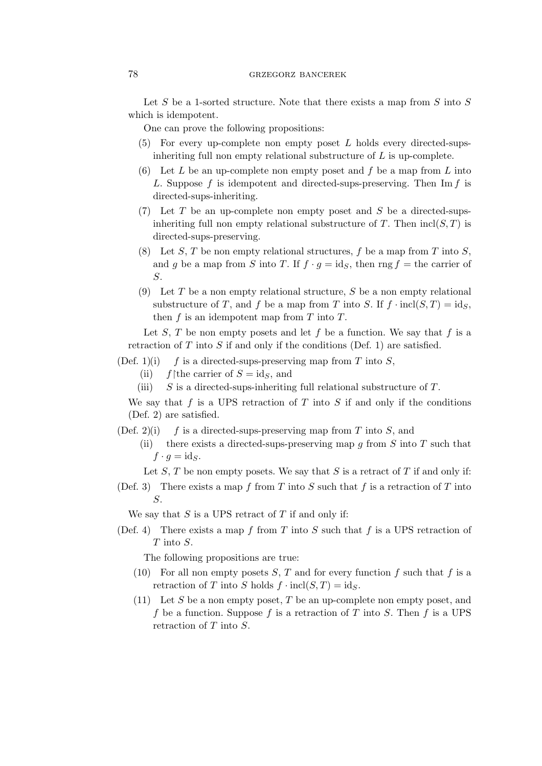## 78 grzegorz bancerek

Let S be a 1-sorted structure. Note that there exists a map from  $S$  into  $S$ which is idempotent.

One can prove the following propositions:

- $(5)$  For every up-complete non empty poset L holds every directed-supsinheriting full non empty relational substructure of  $L$  is up-complete.
- (6) Let L be an up-complete non empty poset and f be a map from L into L. Suppose f is idempotent and directed-sups-preserving. Then  $\text{Im } f$  is directed-sups-inheriting.
- (7) Let T be an up-complete non empty poset and S be a directed-supsinheriting full non empty relational substructure of T. Then  $\text{incl}(S, T)$  is directed-sups-preserving.
- (8) Let S, T be non empty relational structures, f be a map from T into S, and g be a map from S into T. If  $f \cdot g = id_S$ , then rng  $f =$  the carrier of S.
- (9) Let T be a non empty relational structure, S be a non empty relational substructure of T, and f be a map from T into S. If  $f \cdot \text{incl}(S, T) = \text{id}_S$ , then  $f$  is an idempotent map from  $T$  into  $T$ .

Let  $S$ ,  $T$  be non empty posets and let  $f$  be a function. We say that  $f$  is a retraction of  $T$  into  $S$  if and only if the conditions (Def. 1) are satisfied.

- (Def. 1)(i) f is a directed-sups-preserving map from T into  $S$ ,
	- (ii) f $\theta$ the carrier of  $S = id_s$ , and
	- (iii)  $S$  is a directed-sups-inheriting full relational substructure of  $T$ .

We say that f is a UPS retraction of T into S if and only if the conditions (Def. 2) are satisfied.

- (Def. 2)(i) f is a directed-sups-preserving map from T into S, and
	- (ii) there exists a directed-sups-preserving map q from  $S$  into  $T$  such that  $f \cdot g = \mathrm{id}_S.$

Let  $S$ ,  $T$  be non empty posets. We say that  $S$  is a retract of  $T$  if and only if:

(Def. 3) There exists a map f from T into S such that f is a retraction of T into S.

We say that  $S$  is a UPS retract of  $T$  if and only if:

(Def. 4) There exists a map f from T into S such that f is a UPS retraction of T into S.

The following propositions are true:

- (10) For all non empty posets  $S, T$  and for every function f such that f is a retraction of T into S holds  $f \cdot \text{incl}(S, T) = \text{id}_S$ .
- (11) Let S be a non empty poset, T be an up-complete non empty poset, and f be a function. Suppose f is a retraction of T into S. Then f is a UPS retraction of T into S.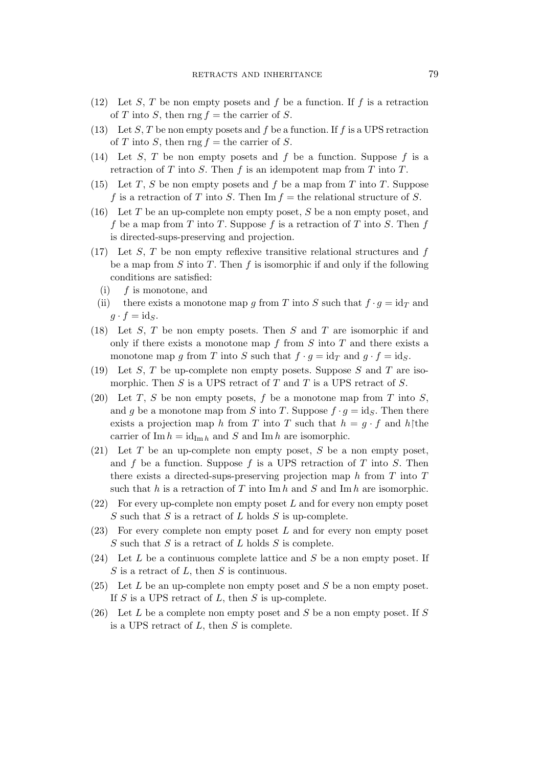- (12) Let S, T be non empty posets and f be a function. If f is a retraction of T into S, then rng  $f =$  the carrier of S.
- (13) Let S, T be non empty posets and f be a function. If f is a UPS retraction of T into S, then rng  $f =$  the carrier of S.
- (14) Let S, T be non empty posets and f be a function. Suppose f is a retraction of  $T$  into  $S$ . Then  $f$  is an idempotent map from  $T$  into  $T$ .
- (15) Let T, S be non empty posets and f be a map from T into T. Suppose f is a retraction of T into S. Then  $\text{Im } f =$  the relational structure of S.
- (16) Let T be an up-complete non empty poset, S be a non empty poset, and f be a map from T into T. Suppose f is a retraction of T into S. Then f is directed-sups-preserving and projection.
- $(17)$  Let S, T be non empty reflexive transitive relational structures and f be a map from  $S$  into  $T$ . Then  $f$  is isomorphic if and only if the following conditions are satisfied:
	- $(i)$  f is monotone, and
- (ii) there exists a monotone map g from T into S such that  $f \cdot g = id_T$  and  $g \cdot f = \mathrm{id}_S.$
- (18) Let  $S$ ,  $T$  be non empty posets. Then  $S$  and  $T$  are isomorphic if and only if there exists a monotone map  $f$  from  $S$  into  $T$  and there exists a monotone map g from T into S such that  $f \cdot g = id_T$  and  $g \cdot f = id_S$ .
- (19) Let S, T be up-complete non empty posets. Suppose S and T are isomorphic. Then  $S$  is a UPS retract of  $T$  and  $T$  is a UPS retract of  $S$ .
- (20) Let T, S be non empty posets, f be a monotone map from T into S, and g be a monotone map from S into T. Suppose  $f \cdot g = id_S$ . Then there exists a projection map h from T into T such that  $h = q \cdot f$  and h $\hat{h}$ carrier of Im  $h = id_{\text{Im }h}$  and S and Im h are isomorphic.
- (21) Let  $T$  be an up-complete non empty poset,  $S$  be a non empty poset, and  $f$  be a function. Suppose  $f$  is a UPS retraction of  $T$  into  $S$ . Then there exists a directed-sups-preserving projection map  $h$  from  $T$  into  $T$ such that h is a retraction of T into  $\text{Im } h$  and  $S$  and  $\text{Im } h$  are isomorphic.
- $(22)$  For every up-complete non empty poset L and for every non empty poset S such that S is a retract of L holds S is up-complete.
- $(23)$  For every complete non empty poset L and for every non empty poset  $S$  such that  $S$  is a retract of  $L$  holds  $S$  is complete.
- (24) Let  $L$  be a continuous complete lattice and  $S$  be a non empty poset. If  $S$  is a retract of  $L$ , then  $S$  is continuous.
- (25) Let  $L$  be an up-complete non empty poset and  $S$  be a non empty poset. If  $S$  is a UPS retract of  $L$ , then  $S$  is up-complete.
- (26) Let L be a complete non empty poset and S be a non empty poset. If S is a UPS retract of  $L$ , then  $S$  is complete.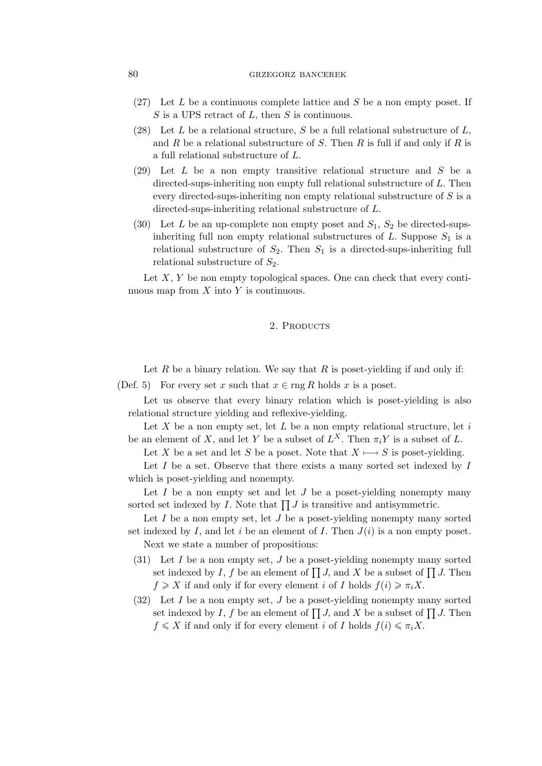## 80 GRZEGORZ BANCEREK

- $(27)$  Let L be a continuous complete lattice and S be a non empty poset. If  $S$  is a UPS retract of  $L$ , then  $S$  is continuous.
- (28) Let L be a relational structure, S be a full relational substructure of  $L$ , and R be a relational substructure of S. Then R is full if and only if R is a full relational substructure of L.
- (29) Let L be a non empty transitive relational structure and S be a directed-sups-inheriting non empty full relational substructure of L. Then every directed-sups-inheriting non empty relational substructure of S is a directed-sups-inheriting relational substructure of L.
- (30) Let L be an up-complete non empty poset and  $S_1$ ,  $S_2$  be directed-supsinheriting full non empty relational substructures of L. Suppose  $S_1$  is a relational substructure of  $S_2$ . Then  $S_1$  is a directed-sups-inheriting full relational substructure of  $S_2$ .

Let  $X, Y$  be non empty topological spaces. One can check that every continuous map from  $X$  into  $Y$  is continuous.

## 2. PRODUCTS

Let R be a binary relation. We say that R is poset-yielding if and only if:

(Def. 5) For every set x such that  $x \in \text{rng } R$  holds x is a poset.

Let us observe that every binary relation which is poset-yielding is also relational structure yielding and reflexive-yielding.

Let  $X$  be a non empty set, let  $L$  be a non empty relational structure, let  $i$ be an element of X, and let Y be a subset of  $L^X$ . Then  $\pi_i Y$  is a subset of L.

Let X be a set and let S be a poset. Note that  $X \rightarrow S$  is poset-yielding.

Let  $I$  be a set. Observe that there exists a many sorted set indexed by  $I$ which is poset-yielding and nonempty.

Let  $I$  be a non empty set and let  $J$  be a poset-yielding nonempty many sorted set indexed by  $I$ . Note that  $\prod J$  is transitive and antisymmetric.

Let  $I$  be a non empty set, let  $J$  be a poset-yielding nonempty many sorted set indexed by I, and let i be an element of I. Then  $J(i)$  is a non empty poset.

Next we state a number of propositions:

- $(31)$  Let I be a non empty set, J be a poset-yielding nonempty many sorted set indexed by I, f be an element of  $\prod J$ , and X be a subset of  $\prod J$ . Then  $f \geqslant X$  if and only if for every element i of I holds  $f(i) \geqslant \pi_i X$ .
- $(32)$  Let I be a non empty set, J be a poset-yielding nonempty many sorted set indexed by I, f be an element of  $\prod J$ , and X be a subset of  $\prod J$ . Then  $f \leqslant X$  if and only if for every element i of I holds  $f(i) \leqslant \pi_i X$ .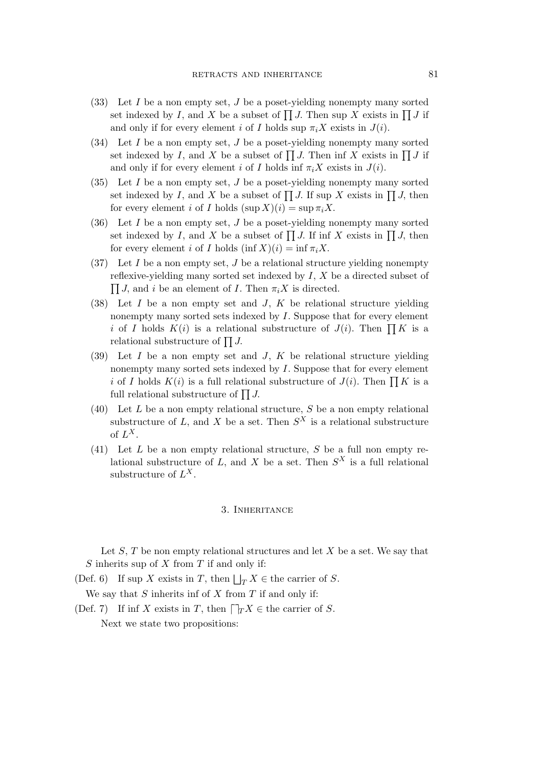- $(33)$  Let I be a non empty set, J be a poset-yielding nonempty many sorted set indexed by I, and X be a subset of  $\prod J$ . Then sup X exists in  $\prod J$  if and only if for every element i of I holds sup  $\pi_i X$  exists in  $J(i)$ .
- $(34)$  Let I be a non empty set, J be a poset-yielding nonempty many sorted set indexed by I, and X be a subset of  $\prod J$ . Then inf X exists in  $\prod J$  if and only if for every element i of I holds inf  $\pi_i X$  exists in  $J(i)$ .
- $(35)$  Let I be a non empty set, J be a poset-yielding nonempty many sorted set indexed by I, and X be a subset of  $\prod J$ . If sup X exists in  $\prod J$ , then for every element i of I holds  $(\sup X)(i) = \sup \pi_i X$ .
- (36) Let  $I$  be a non empty set,  $J$  be a poset-yielding nonempty many sorted set indexed by I, and X be a subset of  $\prod J$ . If inf X exists in  $\prod J$ , then for every element i of I holds  $(\inf X)(i) = \inf \pi_i X$ .
- (37) Let I be a non empty set, J be a relational structure yielding nonempty reflexive-yielding many sorted set indexed by  $I, X$  be a directed subset of  $\prod J$ , and i be an element of I. Then  $\pi_i X$  is directed.
- (38) Let  $I$  be a non empty set and  $J$ ,  $K$  be relational structure yielding nonempty many sorted sets indexed by I. Suppose that for every element i of I holds  $K(i)$  is a relational substructure of  $J(i)$ . Then  $\prod K$  is a relational substructure of  $\prod J$ .
- $(39)$  Let I be a non empty set and J, K be relational structure yielding nonempty many sorted sets indexed by I. Suppose that for every element i of I holds  $K(i)$  is a full relational substructure of  $J(i)$ . Then  $\prod K$  is a full relational substructure of  $\prod J$ .
- (40) Let  $L$  be a non empty relational structure,  $S$  be a non empty relational substructure of L, and X be a set. Then  $S^X$  is a relational substructure of  $L^X$ .
- (41) Let  $L$  be a non empty relational structure,  $S$  be a full non empty relational substructure of L, and X be a set. Then  $S^X$  is a full relational substructure of  $L^X$ .

#### 3. Inheritance

Let  $S$ ,  $T$  be non empty relational structures and let  $X$  be a set. We say that S inherits sup of  $X$  from  $T$  if and only if:

(Def. 6) If sup X exists in T, then  $\bigsqcup_{T} X \in$  the carrier of S.

We say that  $S$  inherits inf of  $X$  from  $T$  if and only if:

(Def. 7) If inf X exists in T, then  $\bigcap_{T} X \in \text{the carrier of } S$ . Next we state two propositions: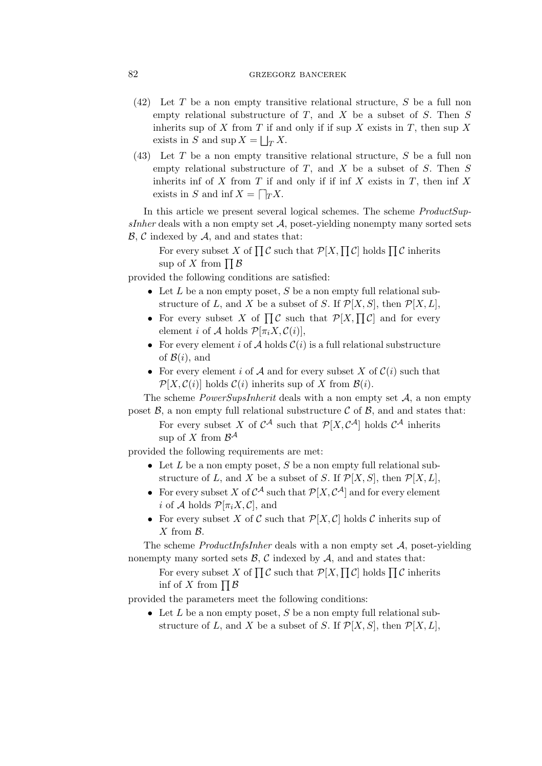## 82 GRZEGORZ BANCEREK

- (42) Let T be a non empty transitive relational structure, S be a full non empty relational substructure of  $T$ , and  $X$  be a subset of  $S$ . Then  $S$ inherits sup of  $X$  from  $T$  if and only if if sup  $X$  exists in  $T$ , then sup  $X$ exists in S and  $\sup X = \bigsqcup_T X$ .
- (43) Let T be a non empty transitive relational structure, S be a full non empty relational substructure of  $T$ , and  $X$  be a subset of  $S$ . Then  $S$ inherits inf of X from T if and only if if inf X exists in T, then inf X exists in S and inf  $X = \bigcap_{T} X$ .

In this article we present several logical schemes. The scheme *ProductSupsInher* deals with a non empty set *A*, poset-yielding nonempty many sorted sets *B*, *C* indexed by *A*, and and states that:

For every subset X of  $\prod \mathcal{C}$  such that  $\mathcal{P}[X, \prod \mathcal{C}]$  holds  $\prod \mathcal{C}$  inherits sup of X from  $\prod \mathcal{B}$ 

provided the following conditions are satisfied:

- Let L be a non empty poset, S be a non empty full relational substructure of L, and X be a subset of S. If  $\mathcal{P}[X, S]$ , then  $\mathcal{P}[X, L]$ ,
- For every subset X of  $\prod \mathcal{C}$  such that  $\mathcal{P}[X, \prod \mathcal{C}]$  and for every element *i* of *A* holds  $\mathcal{P}[\pi_i X, \mathcal{C}(i)],$
- For every element i of  $A$  holds  $C(i)$  is a full relational substructure of  $\mathcal{B}(i)$ , and
- For every element i of  $A$  and for every subset  $X$  of  $C(i)$  such that  $\mathcal{P}[X, \mathcal{C}(i)]$  holds  $\mathcal{C}(i)$  inherits sup of X from  $\mathcal{B}(i)$ .

The scheme *PowerSupsInherit* deals with a non empty set *A*, a non empty poset  $\beta$ , a non empty full relational substructure  $\beta$  of  $\beta$ , and and states that:

For every subset X of  $C^{\mathcal{A}}$  such that  $\mathcal{P}[X, C^{\mathcal{A}}]$  holds  $C^{\mathcal{A}}$  inherits sup of  $X$  from  $\mathcal{B}^{\mathcal{A}}$ 

provided the following requirements are met:

- Let L be a non empty poset, S be a non empty full relational substructure of L, and X be a subset of S. If  $\mathcal{P}[X, S]$ , then  $\mathcal{P}[X, L]$ ,
- For every subset X of  $C^{\mathcal{A}}$  such that  $\mathcal{P}[X, C^{\mathcal{A}}]$  and for every element *i* of *A* holds  $\mathcal{P}[\pi_i X, \mathcal{C}]$ , and
- For every subset X of C such that  $\mathcal{P}[X, \mathcal{C}]$  holds C inherits sup of X from *B*.

The scheme *ProductInfsInher* deals with a non empty set *A*, poset-yielding nonempty many sorted sets  $\mathcal{B}, \mathcal{C}$  indexed by  $\mathcal{A}$ , and and states that:

For every subset X of  $\prod \mathcal{C}$  such that  $\mathcal{P}[X, \prod \mathcal{C}]$  holds  $\prod \mathcal{C}$  inherits inf of X from  $\prod \mathcal{B}$ 

provided the parameters meet the following conditions:

• Let L be a non empty poset, S be a non empty full relational substructure of L, and X be a subset of S. If  $\mathcal{P}[X, S]$ , then  $\mathcal{P}[X, L]$ ,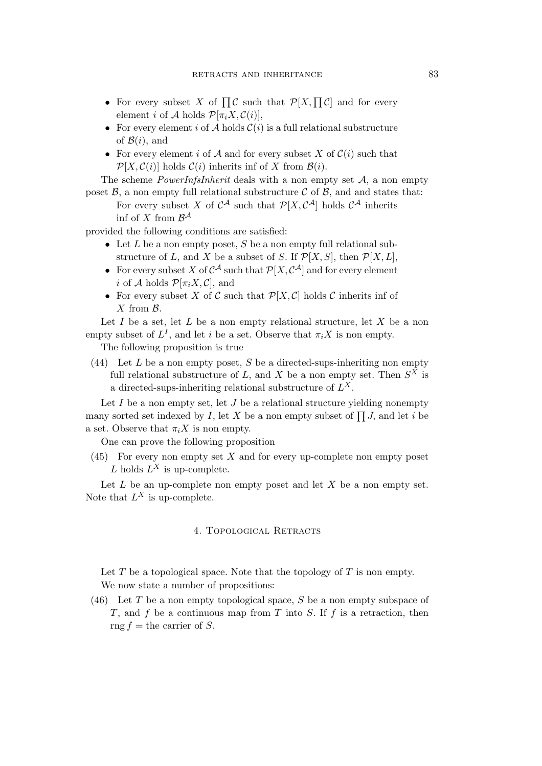- For every subset X of  $\prod \mathcal{C}$  such that  $\mathcal{P}[X, \prod \mathcal{C}]$  and for every element *i* of *A* holds  $\mathcal{P}[\pi_i X, \mathcal{C}(i)],$
- For every element i of  $A$  holds  $C(i)$  is a full relational substructure of  $\mathcal{B}(i)$ , and
- For every element i of  $A$  and for every subset  $X$  of  $C(i)$  such that  $\mathcal{P}[X, \mathcal{C}(i)]$  holds  $\mathcal{C}(i)$  inherits inf of X from  $\mathcal{B}(i)$ .

The scheme *PowerInfsInherit* deals with a non empty set *A*, a non empty poset  $\beta$ , a non empty full relational substructure  $\beta$  of  $\beta$ , and and states that:

For every subset X of  $C^{\mathcal{A}}$  such that  $\mathcal{P}[X, C^{\mathcal{A}}]$  holds  $C^{\mathcal{A}}$  inherits inf of X from  $\mathcal{B}^{\mathcal{A}}$ 

provided the following conditions are satisfied:

- Let L be a non empty poset, S be a non empty full relational substructure of L, and X be a subset of S. If  $\mathcal{P}[X, S]$ , then  $\mathcal{P}[X, L]$ ,
- For every subset X of  $C^A$  such that  $\mathcal{P}[X, C^A]$  and for every element *i* of *A* holds  $\mathcal{P}[\pi_i X, \mathcal{C}]$ , and
- For every subset X of C such that  $\mathcal{P}[X, \mathcal{C}]$  holds C inherits inf of X from *B*.

Let  $I$  be a set, let  $L$  be a non empty relational structure, let  $X$  be a non empty subset of  $L^I$ , and let i be a set. Observe that  $\pi_i X$  is non empty.

The following proposition is true

(44) Let L be a non empty poset, S be a directed-sups-inheriting non empty full relational substructure of L, and X be a non empty set. Then  $S^X$  is a directed-sups-inheriting relational substructure of  $L^X$ .

Let  $I$  be a non empty set, let  $J$  be a relational structure yielding nonempty many sorted set indexed by I, let X be a non empty subset of  $\prod J$ , and let i be a set. Observe that  $\pi_i X$  is non empty.

One can prove the following proposition

 $(45)$  For every non empty set X and for every up-complete non empty poset L holds  $L^X$  is up-complete.

Let  $L$  be an up-complete non empty poset and let  $X$  be a non empty set. Note that  $L^X$  is up-complete.

## 4. Topological Retracts

Let  $T$  be a topological space. Note that the topology of  $T$  is non empty. We now state a number of propositions:

 $(46)$  Let T be a non empty topological space, S be a non empty subspace of T, and f be a continuous map from T into S. If f is a retraction, then rng  $f =$  the carrier of S.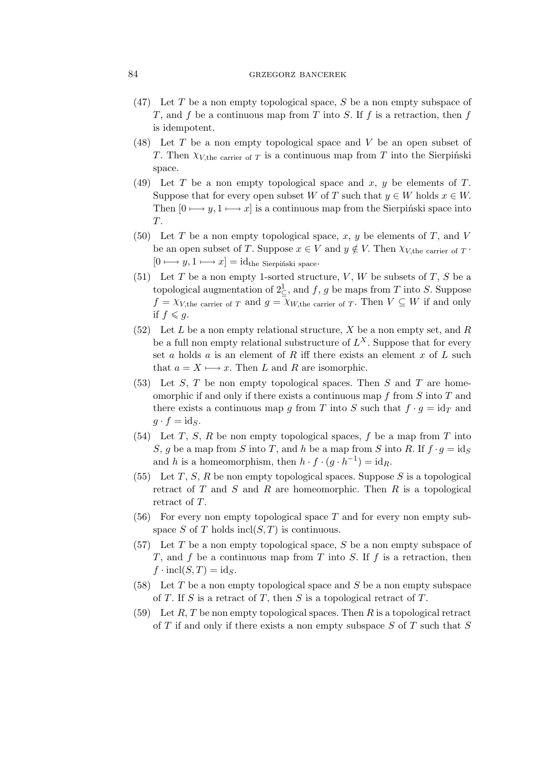## 84 GRZEGORZ BANCEREK

- $(47)$  Let T be a non empty topological space, S be a non empty subspace of T, and f be a continuous map from T into S. If f is a retraction, then f is idempotent.
- $(48)$  Let T be a non empty topological space and V be an open subset of T. Then  $\chi_{V,\text{the carrier of }T}$  is a continuous map from T into the Sierpiński space.
- (49) Let T be a non empty topological space and  $x, y$  be elements of T. Suppose that for every open subset W of T such that  $y \in W$  holds  $x \in W$ . Then  $[0 \rightarrow y, 1 \rightarrow x]$  is a continuous map from the Sierpiński space into T.
- (50) Let T be a non empty topological space, x, y be elements of T, and V be an open subset of T. Suppose  $x \in V$  and  $y \notin V$ . Then  $\chi_{V,\text{the carrier of } T}$ . [0 *7−→* y, 1 *7−→* x] = idthe Sierpiński space.
- (51) Let T be a non empty 1-sorted structure, V, W be subsets of T, S be a topological augmentation of  $2\frac{1}{2}$ , and f, g be maps from T into S. Suppose  $f = \chi_{V,\text{the carrier of } T}$  and  $g = \chi_{W,\text{the carrier of } T}$ . Then  $V \subseteq W$  if and only if  $f \leqslant q$ .
- (52) Let L be a non empty relational structure, X be a non empty set, and R be a full non empty relational substructure of  $L^X$ . Suppose that for every set a holds a is an element of R iff there exists an element  $x$  of  $L$  such that  $a = X \rightarrow x$ . Then L and R are isomorphic.
- $(53)$  Let S, T be non empty topological spaces. Then S and T are homeomorphic if and only if there exists a continuous map f from  $S$  into  $T$  and there exists a continuous map g from T into S such that  $f \cdot g = id_T$  and  $g \cdot f = \mathrm{id}_S$ .
- (54) Let T, S, R be non empty topological spaces, f be a map from T into S, g be a map from S into T, and h be a map from S into R. If  $f \cdot g = id_S$ and h is a homeomorphism, then  $h \cdot f \cdot (g \cdot h^{-1}) = id_R$ .
- (55) Let T, S, R be non empty topological spaces. Suppose S is a topological retract of  $T$  and  $S$  and  $R$  are homeomorphic. Then  $R$  is a topological retract of T.
- $(56)$  For every non empty topological space T and for every non empty subspace S of T holds  $\text{incl}(S,T)$  is continuous.
- $(57)$  Let T be a non empty topological space, S be a non empty subspace of T, and f be a continuous map from T into S. If f is a retraction, then  $f \cdot \text{incl}(S, T) = \text{id}_S.$
- (58) Let T be a non empty topological space and S be a non empty subspace of T. If S is a retract of T, then S is a topological retract of T.
- (59) Let R, T be non empty topological spaces. Then R is a topological retract of  $T$  if and only if there exists a non empty subspace  $S$  of  $T$  such that  $S$